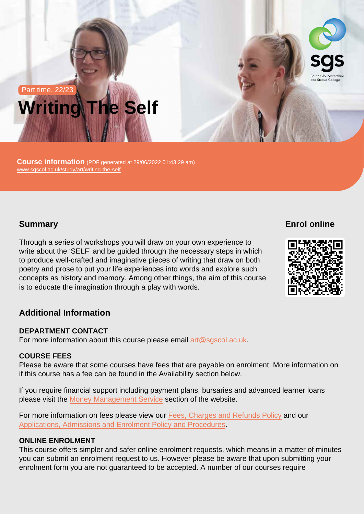# Part time, 22/23 Writing The Self

Course information (PDF generated at 29/06/2022 01:43:29 am) [www.sgscol.ac.uk/study/art/writing-the-self](https://www.sgscol.ac.uk/study/art/writing-the-self)

### **Summary**

Enrol online

Through a series of workshops you will draw on your own experience to write about the 'SELF' and be guided through the necessary steps in which to produce well-crafted and imaginative pieces of writing that draw on both poetry and prose to put your life experiences into words and explore such concepts as history and memory. Among other things, the aim of this course is to educate the imagination through a play with words.

## Additional Information

#### DEPARTMENT CONTACT

For more information about this course please email [art@sgscol.ac.uk](mailto:art@sgscol.ac.uk).

#### COURSE FEES

Please be aware that some courses have fees that are payable on enrolment. More information on if this course has a fee can be found in the Availability section below.

If you require financial support including payment plans, bursaries and advanced learner loans please visit the [Money Management Service](http://www.sgscol.ac.uk/mms) section of the website.

For more information on fees please view our [Fees, Charges and Refunds Policy](https://www.sgscol.ac.uk/policies) and our [Applications, Admissions and Enrolment Policy and Procedures.](https://www.sgscol.ac.uk/policies)

#### ONLINE ENROLMENT

This course offers simpler and safer online enrolment requests, which means in a matter of minutes you can submit an enrolment request to us. However please be aware that upon submitting your enrolment form you are not guaranteed to be accepted. A number of our courses require